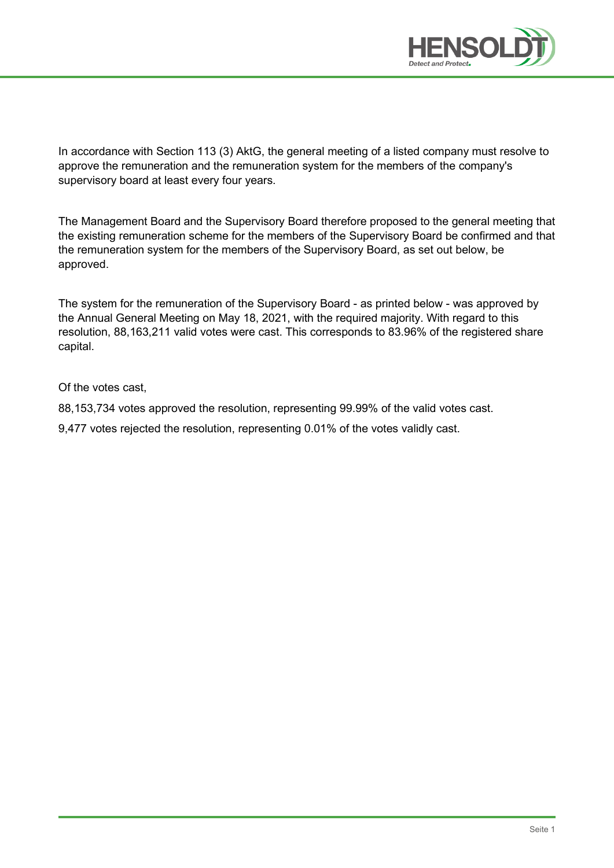

In accordance with Section 113 (3) AktG, the general meeting of a listed company must resolve to approve the remuneration and the remuneration system for the members of the company's supervisory board at least every four years.

The Management Board and the Supervisory Board therefore proposed to the general meeting that the existing remuneration scheme for the members of the Supervisory Board be confirmed and that the remuneration system for the members of the Supervisory Board, as set out below, be approved.

The system for the remuneration of the Supervisory Board - as printed below - was approved by the Annual General Meeting on May 18, 2021, with the required majority. With regard to this resolution, 88,163,211 valid votes were cast. This corresponds to 83.96% of the registered share capital.

Of the votes cast,

88,153,734 votes approved the resolution, representing 99.99% of the valid votes cast.

9,477 votes rejected the resolution, representing 0.01% of the votes validly cast.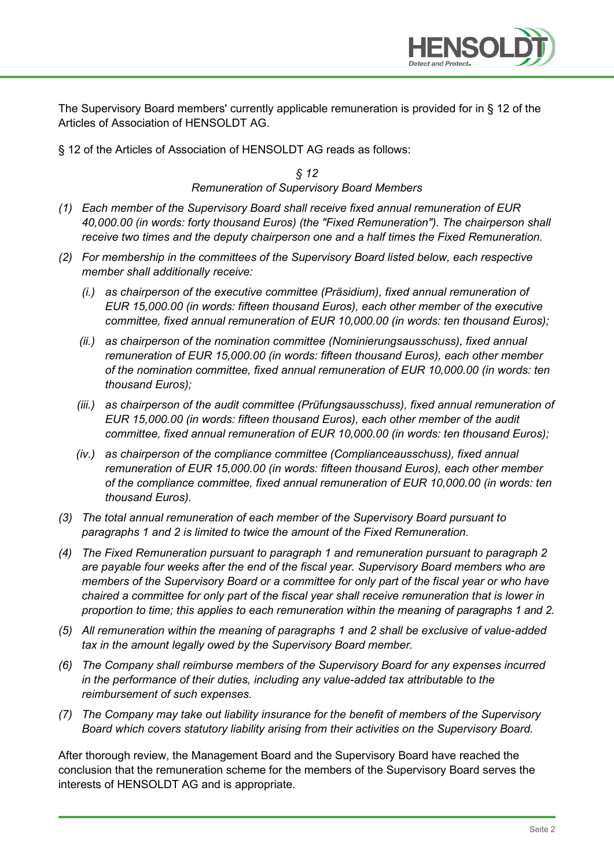

The Supervisory Board members' currently applicable remuneration is provided for in § 12 of the Articles of Association of HENSOLDT AG.

§ 12 of the Articles of Association of HENSOLDT AG reads as follows:

*§ 12 Remuneration of Supervisory Board Members*

- *(1) Each member of the Supervisory Board shall receive fixed annual remuneration of EUR 40,000.00 (in words: forty thousand Euros) (the "Fixed Remuneration"). The chairperson shall receive two times and the deputy chairperson one and a half times the Fixed Remuneration.*
- *(2) For membership in the committees of the Supervisory Board listed below, each respective member shall additionally receive:*
	- *(i.) as chairperson of the executive committee (Präsidium), fixed annual remuneration of EUR 15,000.00 (in words: fifteen thousand Euros), each other member of the executive committee, fixed annual remuneration of EUR 10,000.00 (in words: ten thousand Euros);*
	- *(ii.) as chairperson of the nomination committee (Nominierungsausschuss), fixed annual remuneration of EUR 15,000.00 (in words: fifteen thousand Euros), each other member of the nomination committee, fixed annual remuneration of EUR 10,000.00 (in words: ten thousand Euros);*
	- *(iii.) as chairperson of the audit committee (Prüfungsausschuss), fixed annual remuneration of EUR 15,000.00 (in words: fifteen thousand Euros), each other member of the audit committee, fixed annual remuneration of EUR 10,000.00 (in words: ten thousand Euros);*
	- *(iv.) as chairperson of the compliance committee (Complianceausschuss), fixed annual remuneration of EUR 15,000.00 (in words: fifteen thousand Euros), each other member of the compliance committee, fixed annual remuneration of EUR 10,000.00 (in words: ten thousand Euros).*
- *(3) The total annual remuneration of each member of the Supervisory Board pursuant to paragraphs 1 and 2 is limited to twice the amount of the Fixed Remuneration.*
- *(4) The Fixed Remuneration pursuant to paragraph 1 and remuneration pursuant to paragraph 2 are payable four weeks after the end of the fiscal year. Supervisory Board members who are members of the Supervisory Board or a committee for only part of the fiscal year or who have chaired a committee for only part of the fiscal year shall receive remuneration that is lower in proportion to time; this applies to each remuneration within the meaning of paragraphs 1 and 2.*
- *(5) All remuneration within the meaning of paragraphs 1 and 2 shall be exclusive of value-added tax in the amount legally owed by the Supervisory Board member.*
- *(6) The Company shall reimburse members of the Supervisory Board for any expenses incurred in the performance of their duties, including any value-added tax attributable to the reimbursement of such expenses.*
- *(7) The Company may take out liability insurance for the benefit of members of the Supervisory Board which covers statutory liability arising from their activities on the Supervisory Board.*

After thorough review, the Management Board and the Supervisory Board have reached the conclusion that the remuneration scheme for the members of the Supervisory Board serves the interests of HENSOLDT AG and is appropriate.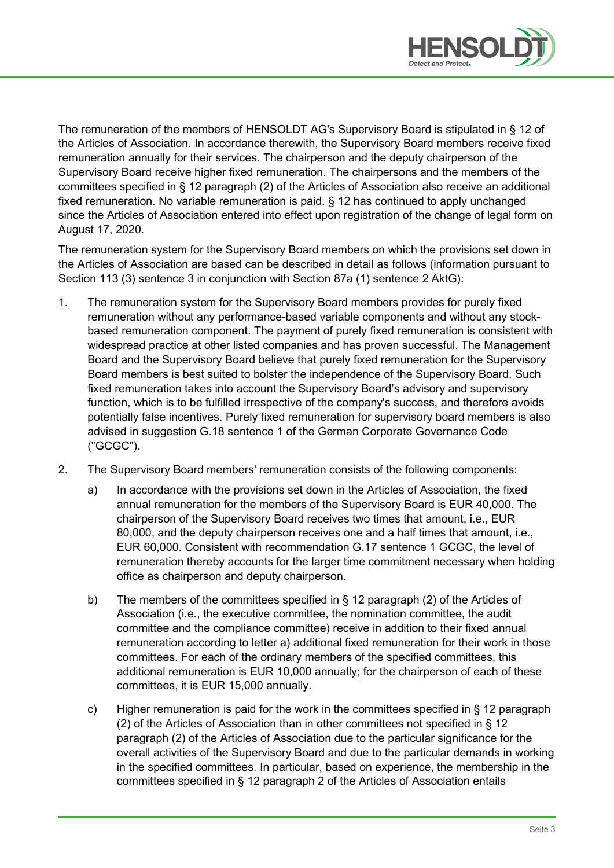

The remuneration of the members of HENSOLDT AG's Supervisory Board is stipulated in § 12 of the Articles of Association. In accordance therewith, the Supervisory Board members receive fixed remuneration annually for their services. The chairperson and the deputy chairperson of the Supervisory Board receive higher fixed remuneration. The chairpersons and the members of the committees specified in § 12 paragraph (2) of the Articles of Association also receive an additional fixed remuneration. No variable remuneration is paid. § 12 has continued to apply unchanged since the Articles of Association entered into effect upon registration of the change of legal form on August 17, 2020.

The remuneration system for the Supervisory Board members on which the provisions set down in the Articles of Association are based can be described in detail as follows (information pursuant to Section 113 (3) sentence 3 in conjunction with Section 87a (1) sentence 2 AktG):

- 1. The remuneration system for the Supervisory Board members provides for purely fixed remuneration without any performance-based variable components and without any stockbased remuneration component. The payment of purely fixed remuneration is consistent with widespread practice at other listed companies and has proven successful. The Management Board and the Supervisory Board believe that purely fixed remuneration for the Supervisory Board members is best suited to bolster the independence of the Supervisory Board. Such fixed remuneration takes into account the Supervisory Board's advisory and supervisory function, which is to be fulfilled irrespective of the company's success, and therefore avoids potentially false incentives. Purely fixed remuneration for supervisory board members is also advised in suggestion G.18 sentence 1 of the German Corporate Governance Code ("GCGC").
- 2. The Supervisory Board members' remuneration consists of the following components:
	- a) In accordance with the provisions set down in the Articles of Association, the fixed annual remuneration for the members of the Supervisory Board is EUR 40,000. The chairperson of the Supervisory Board receives two times that amount, i.e., EUR 80,000, and the deputy chairperson receives one and a half times that amount, i.e., EUR 60,000. Consistent with recommendation G.17 sentence 1 GCGC, the level of remuneration thereby accounts for the larger time commitment necessary when holding office as chairperson and deputy chairperson.
	- b) The members of the committees specified in § 12 paragraph (2) of the Articles of Association (i.e., the executive committee, the nomination committee, the audit committee and the compliance committee) receive in addition to their fixed annual remuneration according to letter a) additional fixed remuneration for their work in those committees. For each of the ordinary members of the specified committees, this additional remuneration is EUR 10,000 annually; for the chairperson of each of these committees, it is EUR 15,000 annually.
	- c) Higher remuneration is paid for the work in the committees specified in § 12 paragraph (2) of the Articles of Association than in other committees not specified in § 12 paragraph (2) of the Articles of Association due to the particular significance for the overall activities of the Supervisory Board and due to the particular demands in working in the specified committees. In particular, based on experience, the membership in the committees specified in § 12 paragraph 2 of the Articles of Association entails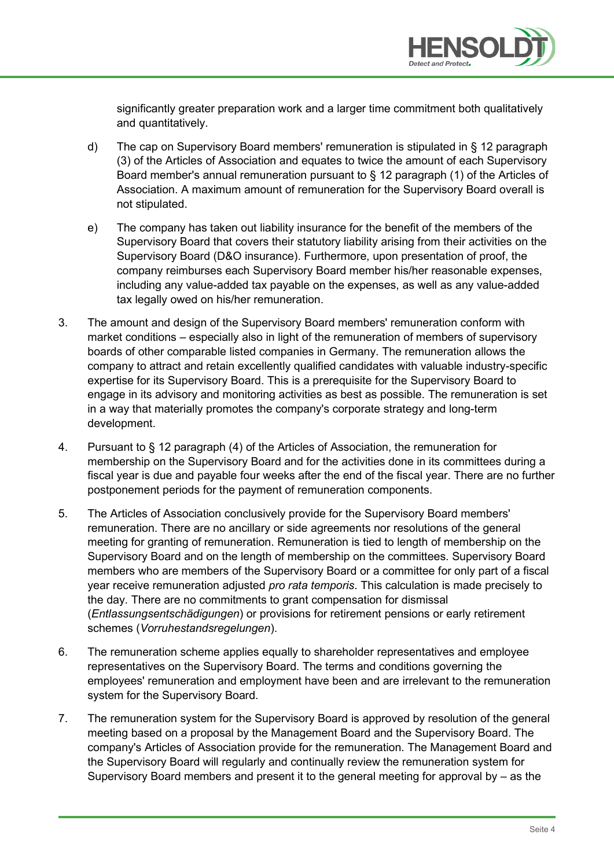

significantly greater preparation work and a larger time commitment both qualitatively and quantitatively.

- d) The cap on Supervisory Board members' remuneration is stipulated in § 12 paragraph (3) of the Articles of Association and equates to twice the amount of each Supervisory Board member's annual remuneration pursuant to § 12 paragraph (1) of the Articles of Association. A maximum amount of remuneration for the Supervisory Board overall is not stipulated.
- e) The company has taken out liability insurance for the benefit of the members of the Supervisory Board that covers their statutory liability arising from their activities on the Supervisory Board (D&O insurance). Furthermore, upon presentation of proof, the company reimburses each Supervisory Board member his/her reasonable expenses, including any value-added tax payable on the expenses, as well as any value-added tax legally owed on his/her remuneration.
- 3. The amount and design of the Supervisory Board members' remuneration conform with market conditions – especially also in light of the remuneration of members of supervisory boards of other comparable listed companies in Germany. The remuneration allows the company to attract and retain excellently qualified candidates with valuable industry-specific expertise for its Supervisory Board. This is a prerequisite for the Supervisory Board to engage in its advisory and monitoring activities as best as possible. The remuneration is set in a way that materially promotes the company's corporate strategy and long-term development.
- 4. Pursuant to § 12 paragraph (4) of the Articles of Association, the remuneration for membership on the Supervisory Board and for the activities done in its committees during a fiscal year is due and payable four weeks after the end of the fiscal year. There are no further postponement periods for the payment of remuneration components.
- 5. The Articles of Association conclusively provide for the Supervisory Board members' remuneration. There are no ancillary or side agreements nor resolutions of the general meeting for granting of remuneration. Remuneration is tied to length of membership on the Supervisory Board and on the length of membership on the committees. Supervisory Board members who are members of the Supervisory Board or a committee for only part of a fiscal year receive remuneration adjusted *pro rata temporis*. This calculation is made precisely to the day. There are no commitments to grant compensation for dismissal (*Entlassungsentschädigungen*) or provisions for retirement pensions or early retirement schemes (*Vorruhestandsregelungen*).
- 6. The remuneration scheme applies equally to shareholder representatives and employee representatives on the Supervisory Board. The terms and conditions governing the employees' remuneration and employment have been and are irrelevant to the remuneration system for the Supervisory Board.
- 7. The remuneration system for the Supervisory Board is approved by resolution of the general meeting based on a proposal by the Management Board and the Supervisory Board. The company's Articles of Association provide for the remuneration. The Management Board and the Supervisory Board will regularly and continually review the remuneration system for Supervisory Board members and present it to the general meeting for approval by – as the